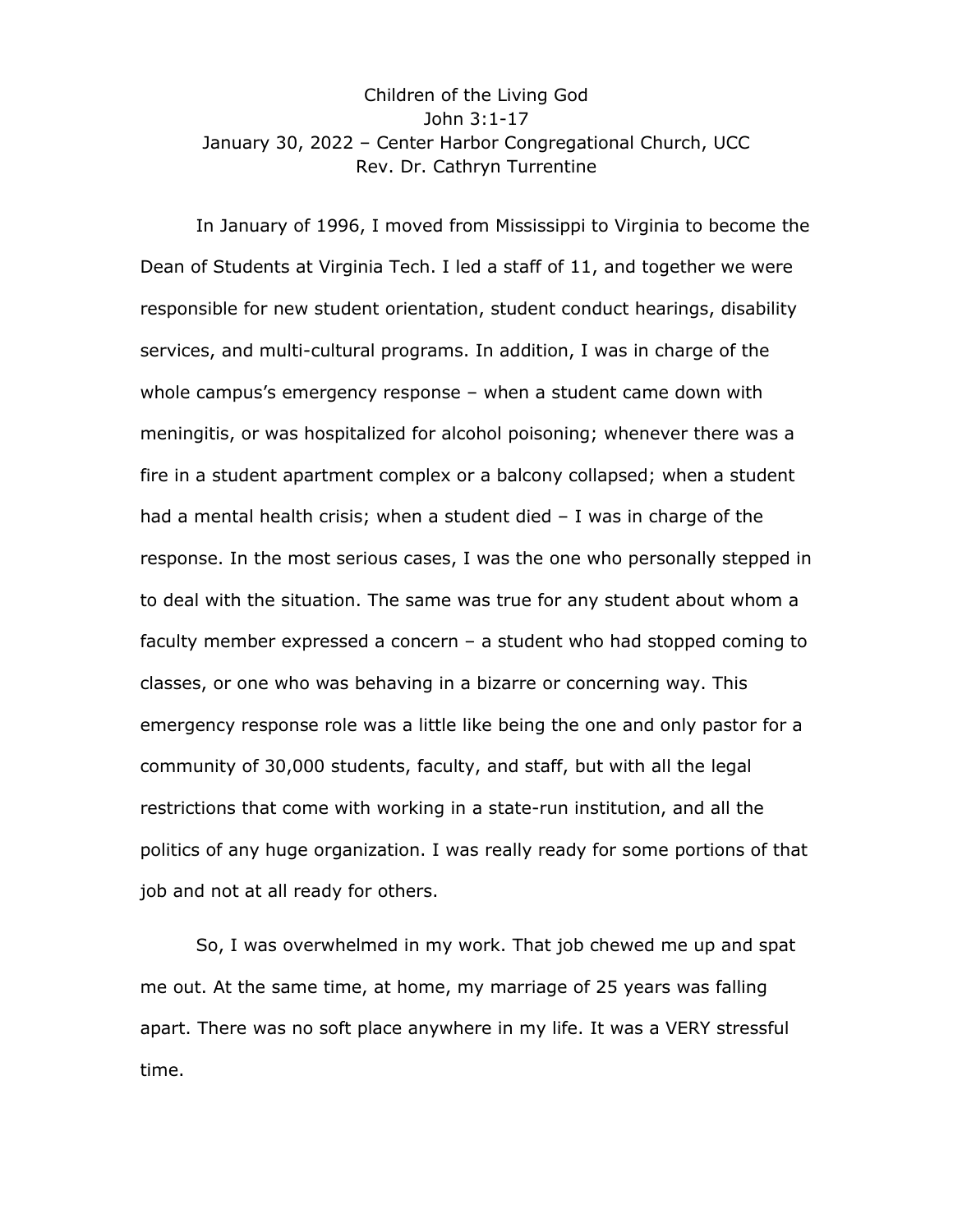## Children of the Living God John 3:1-17 January 30, 2022 – Center Harbor Congregational Church, UCC Rev. Dr. Cathryn Turrentine

In January of 1996, I moved from Mississippi to Virginia to become the Dean of Students at Virginia Tech. I led a staff of 11, and together we were responsible for new student orientation, student conduct hearings, disability services, and multi-cultural programs. In addition, I was in charge of the whole campus's emergency response – when a student came down with meningitis, or was hospitalized for alcohol poisoning; whenever there was a fire in a student apartment complex or a balcony collapsed; when a student had a mental health crisis; when a student died – I was in charge of the response. In the most serious cases, I was the one who personally stepped in to deal with the situation. The same was true for any student about whom a faculty member expressed a concern – a student who had stopped coming to classes, or one who was behaving in a bizarre or concerning way. This emergency response role was a little like being the one and only pastor for a community of 30,000 students, faculty, and staff, but with all the legal restrictions that come with working in a state-run institution, and all the politics of any huge organization. I was really ready for some portions of that job and not at all ready for others.

So, I was overwhelmed in my work. That job chewed me up and spat me out. At the same time, at home, my marriage of 25 years was falling apart. There was no soft place anywhere in my life. It was a VERY stressful time.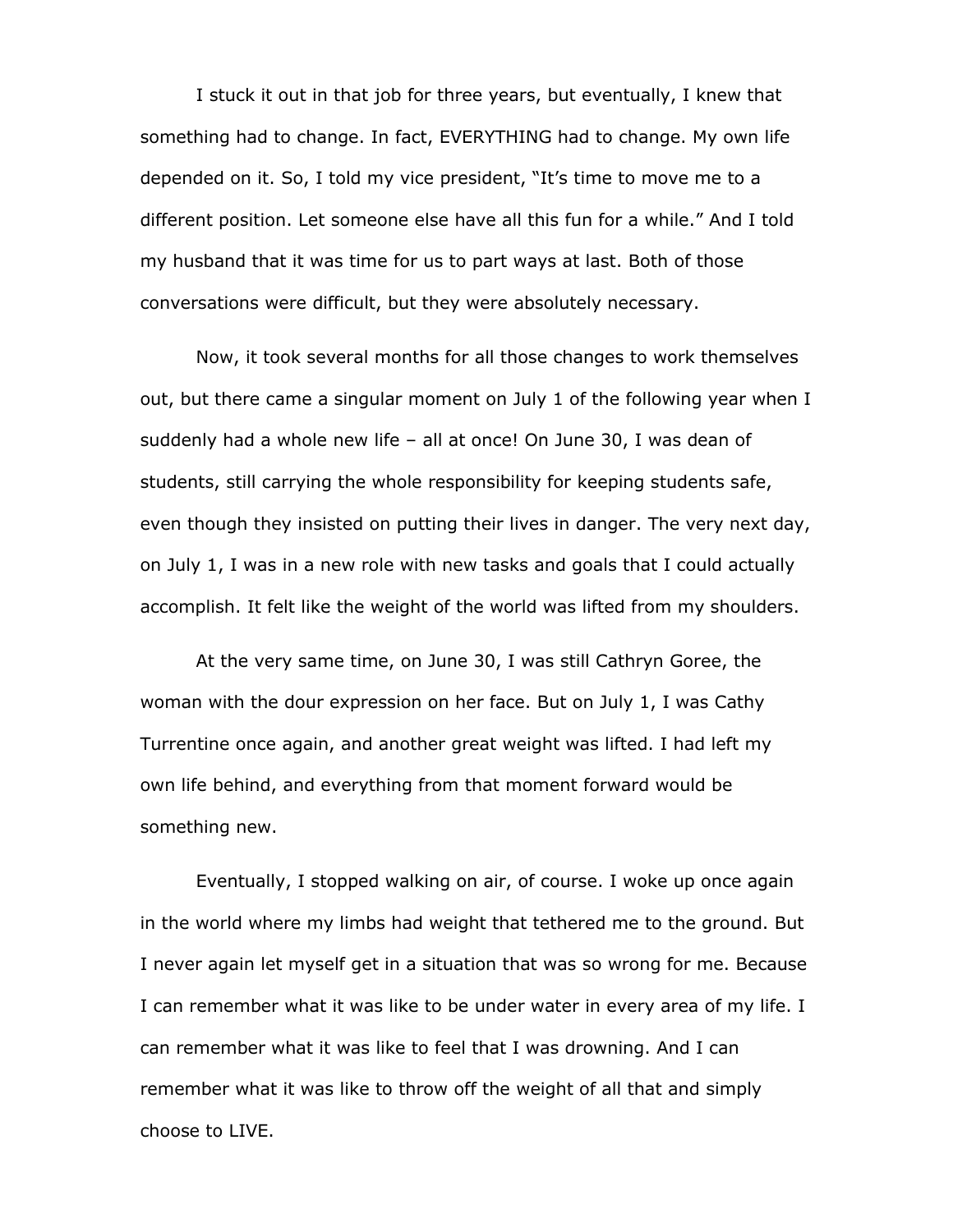I stuck it out in that job for three years, but eventually, I knew that something had to change. In fact, EVERYTHING had to change. My own life depended on it. So, I told my vice president, "It's time to move me to a different position. Let someone else have all this fun for a while." And I told my husband that it was time for us to part ways at last. Both of those conversations were difficult, but they were absolutely necessary.

Now, it took several months for all those changes to work themselves out, but there came a singular moment on July 1 of the following year when I suddenly had a whole new life – all at once! On June 30, I was dean of students, still carrying the whole responsibility for keeping students safe, even though they insisted on putting their lives in danger. The very next day, on July 1, I was in a new role with new tasks and goals that I could actually accomplish. It felt like the weight of the world was lifted from my shoulders.

At the very same time, on June 30, I was still Cathryn Goree, the woman with the dour expression on her face. But on July 1, I was Cathy Turrentine once again, and another great weight was lifted. I had left my own life behind, and everything from that moment forward would be something new.

Eventually, I stopped walking on air, of course. I woke up once again in the world where my limbs had weight that tethered me to the ground. But I never again let myself get in a situation that was so wrong for me. Because I can remember what it was like to be under water in every area of my life. I can remember what it was like to feel that I was drowning. And I can remember what it was like to throw off the weight of all that and simply choose to LIVE.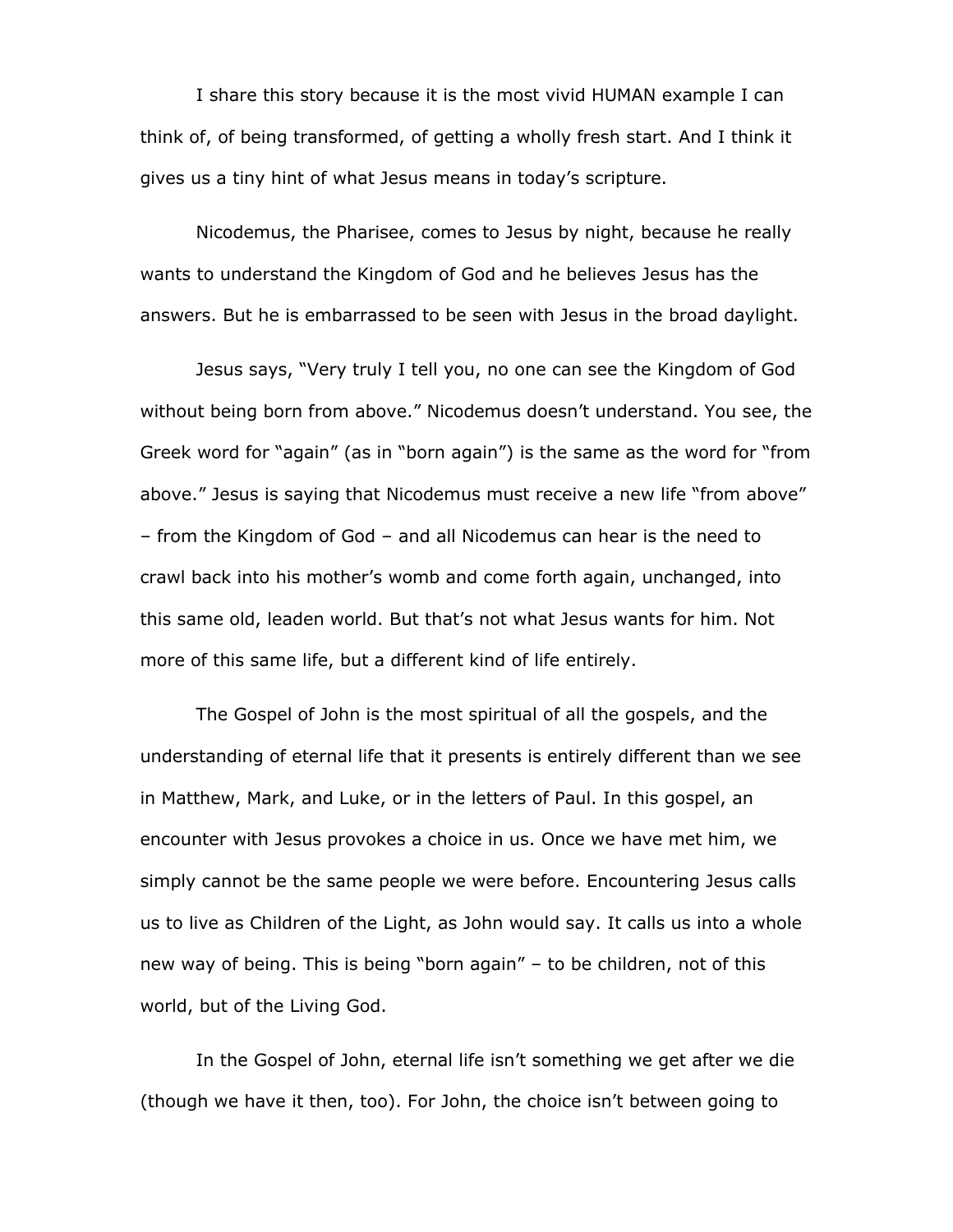I share this story because it is the most vivid HUMAN example I can think of, of being transformed, of getting a wholly fresh start. And I think it gives us a tiny hint of what Jesus means in today's scripture.

Nicodemus, the Pharisee, comes to Jesus by night, because he really wants to understand the Kingdom of God and he believes Jesus has the answers. But he is embarrassed to be seen with Jesus in the broad daylight.

Jesus says, "Very truly I tell you, no one can see the Kingdom of God without being born from above." Nicodemus doesn't understand. You see, the Greek word for "again" (as in "born again") is the same as the word for "from above." Jesus is saying that Nicodemus must receive a new life "from above" – from the Kingdom of God – and all Nicodemus can hear is the need to crawl back into his mother's womb and come forth again, unchanged, into this same old, leaden world. But that's not what Jesus wants for him. Not more of this same life, but a different kind of life entirely.

The Gospel of John is the most spiritual of all the gospels, and the understanding of eternal life that it presents is entirely different than we see in Matthew, Mark, and Luke, or in the letters of Paul. In this gospel, an encounter with Jesus provokes a choice in us. Once we have met him, we simply cannot be the same people we were before. Encountering Jesus calls us to live as Children of the Light, as John would say. It calls us into a whole new way of being. This is being "born again" – to be children, not of this world, but of the Living God.

In the Gospel of John, eternal life isn't something we get after we die (though we have it then, too). For John, the choice isn't between going to